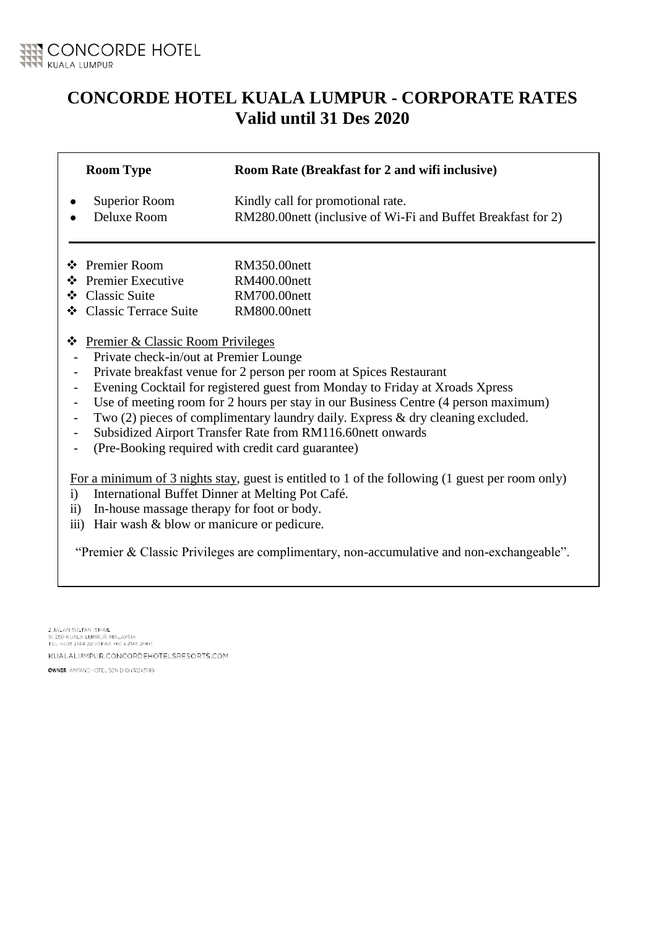

## **CONCORDE HOTEL KUALA LUMPUR - CORPORATE RATES Valid until 31 Des 2020**

|                                                                                                   | <b>Room Type</b>                                                                   | Room Rate (Breakfast for 2 and wifi inclusive)                |  |
|---------------------------------------------------------------------------------------------------|------------------------------------------------------------------------------------|---------------------------------------------------------------|--|
|                                                                                                   | <b>Superior Room</b>                                                               | Kindly call for promotional rate.                             |  |
|                                                                                                   | Deluxe Room                                                                        | RM280.00 nett (inclusive of Wi-Fi and Buffet Breakfast for 2) |  |
|                                                                                                   | † Premier Room                                                                     | RM350.00nett                                                  |  |
|                                                                                                   | ❖ Premier Executive                                                                |                                                               |  |
|                                                                                                   |                                                                                    | <b>RM400.00nett</b>                                           |  |
|                                                                                                   | ❖ Classic Suite                                                                    | <b>RM700.00nett</b>                                           |  |
|                                                                                                   | ❖ Classic Terrace Suite                                                            | <b>RM800.00nett</b>                                           |  |
| ❖                                                                                                 | <b>Premier &amp; Classic Room Privileges</b>                                       |                                                               |  |
|                                                                                                   | Private check-in/out at Premier Lounge                                             |                                                               |  |
|                                                                                                   | Private breakfast venue for 2 person per room at Spices Restaurant                 |                                                               |  |
|                                                                                                   | Evening Cocktail for registered guest from Monday to Friday at Xroads Xpress       |                                                               |  |
|                                                                                                   | Use of meeting room for 2 hours per stay in our Business Centre (4 person maximum) |                                                               |  |
|                                                                                                   | Two $(2)$ pieces of complimentary laundry daily. Express & dry cleaning excluded.  |                                                               |  |
|                                                                                                   | Subsidized Airport Transfer Rate from RM116.60nett onwards                         |                                                               |  |
|                                                                                                   | (Pre-Booking required with credit card guarantee)                                  |                                                               |  |
|                                                                                                   |                                                                                    |                                                               |  |
| For a minimum of 3 nights stay, guest is entitled to 1 of the following $(1$ guest per room only) |                                                                                    |                                                               |  |
| $\mathbf{i}$                                                                                      | International Buffet Dinner at Melting Pot Café.                                   |                                                               |  |
| $\ddot{\mathbf{i}}$                                                                               | In-house massage therapy for foot or body.                                         |                                                               |  |
|                                                                                                   | iii) Hair wash & blow or manicure or pedicure.                                     |                                                               |  |

"Premier & Classic Privileges are complimentary, non-accumulative and non-exchangeable".

2 JALAN SULTAN ISMAIL<br>50250 KUALA LUMPUR, MALAYSIA<br>TEL +603 2144 2200 FAX +603 2145 2007

KUALALUMPUR.CONCORDEHOTELSRESORTS.COM

OWNER AMPANG HOTEL SDN BHD (182431-H)